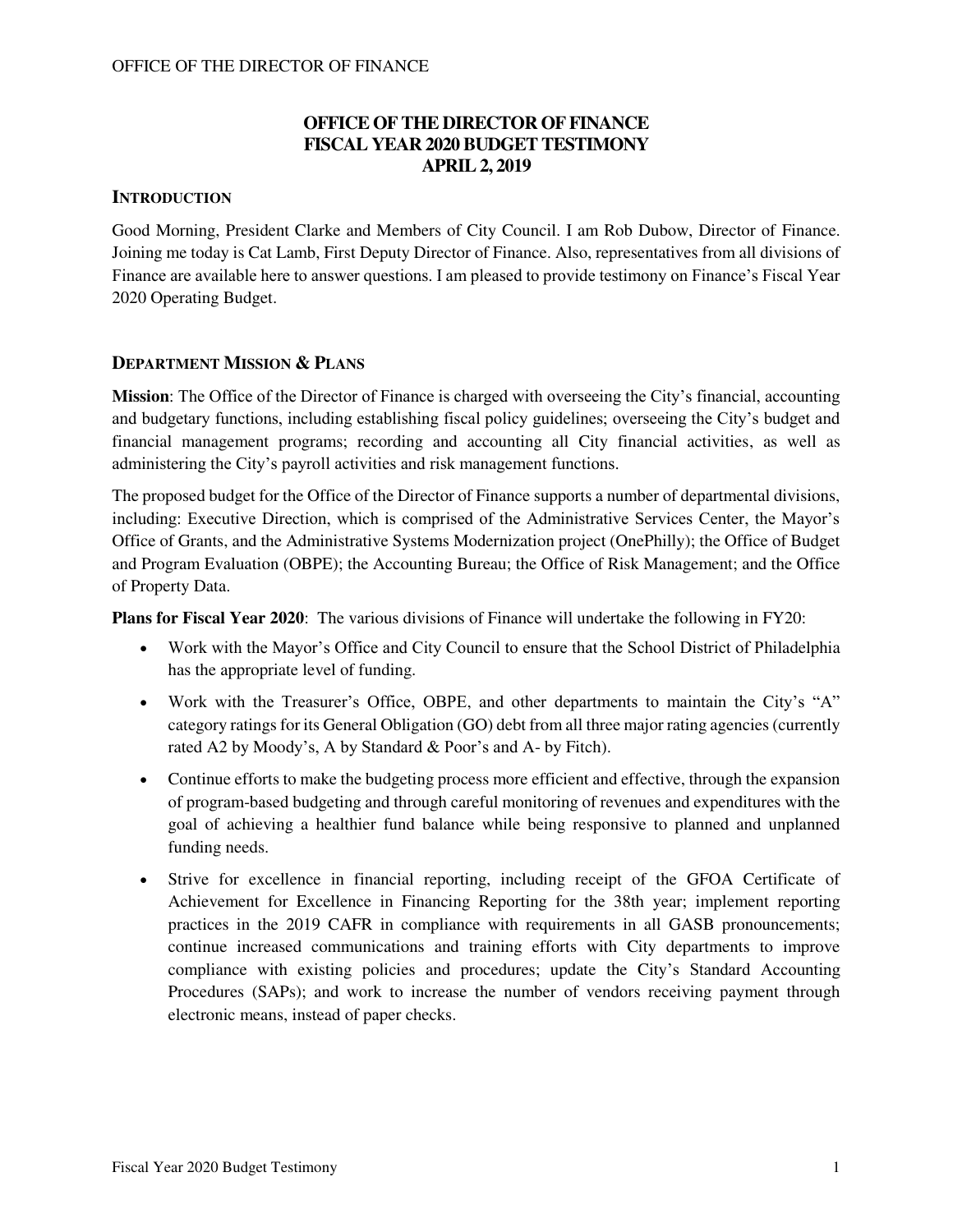## **OFFICE OF THE DIRECTOR OF FINANCE FISCAL YEAR 2020 BUDGET TESTIMONY APRIL 2, 2019**

## **INTRODUCTION**

Good Morning, President Clarke and Members of City Council. I am Rob Dubow, Director of Finance. Joining me today is Cat Lamb, First Deputy Director of Finance. Also, representatives from all divisions of Finance are available here to answer questions. I am pleased to provide testimony on Finance's Fiscal Year 2020 Operating Budget.

## **DEPARTMENT MISSION & PLANS**

**Mission**: The Office of the Director of Finance is charged with overseeing the City's financial, accounting and budgetary functions, including establishing fiscal policy guidelines; overseeing the City's budget and financial management programs; recording and accounting all City financial activities, as well as administering the City's payroll activities and risk management functions.

The proposed budget for the Office of the Director of Finance supports a number of departmental divisions, including: Executive Direction, which is comprised of the Administrative Services Center, the Mayor's Office of Grants, and the Administrative Systems Modernization project (OnePhilly); the Office of Budget and Program Evaluation (OBPE); the Accounting Bureau; the Office of Risk Management; and the Office of Property Data.

**Plans for Fiscal Year 2020**: The various divisions of Finance will undertake the following in FY20:

- Work with the Mayor's Office and City Council to ensure that the School District of Philadelphia has the appropriate level of funding.
- Work with the Treasurer's Office, OBPE, and other departments to maintain the City's "A" category ratings for its General Obligation (GO) debt from all three major rating agencies (currently rated A2 by Moody's, A by Standard & Poor's and A- by Fitch).
- Continue efforts to make the budgeting process more efficient and effective, through the expansion of program-based budgeting and through careful monitoring of revenues and expenditures with the goal of achieving a healthier fund balance while being responsive to planned and unplanned funding needs.
- Strive for excellence in financial reporting, including receipt of the GFOA Certificate of Achievement for Excellence in Financing Reporting for the 38th year; implement reporting practices in the 2019 CAFR in compliance with requirements in all GASB pronouncements; continue increased communications and training efforts with City departments to improve compliance with existing policies and procedures; update the City's Standard Accounting Procedures (SAPs); and work to increase the number of vendors receiving payment through electronic means, instead of paper checks.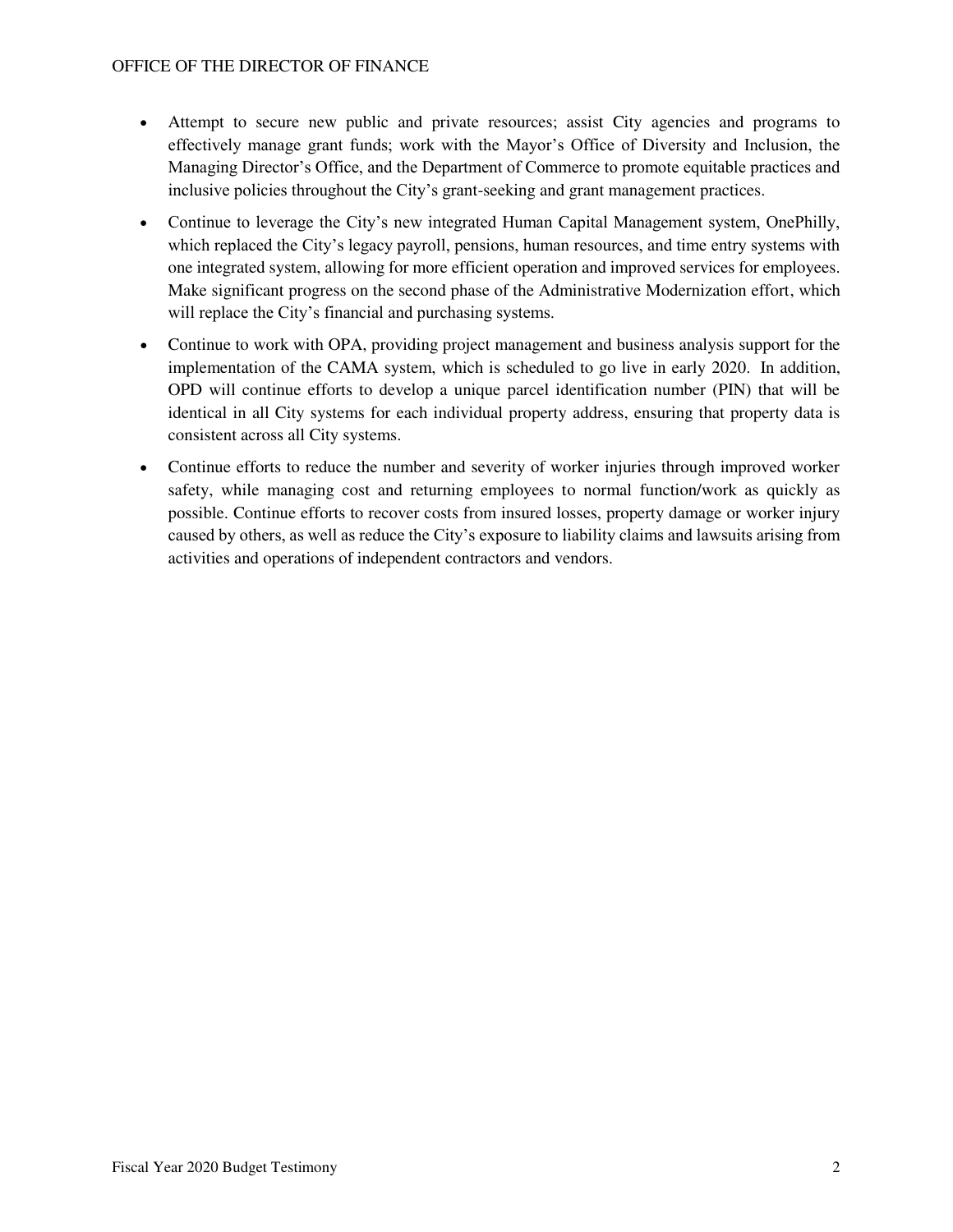- Attempt to secure new public and private resources; assist City agencies and programs to effectively manage grant funds; work with the Mayor's Office of Diversity and Inclusion, the Managing Director's Office, and the Department of Commerce to promote equitable practices and inclusive policies throughout the City's grant-seeking and grant management practices.
- Continue to leverage the City's new integrated Human Capital Management system, OnePhilly, which replaced the City's legacy payroll, pensions, human resources, and time entry systems with one integrated system, allowing for more efficient operation and improved services for employees. Make significant progress on the second phase of the Administrative Modernization effort, which will replace the City's financial and purchasing systems.
- Continue to work with OPA, providing project management and business analysis support for the implementation of the CAMA system, which is scheduled to go live in early 2020. In addition, OPD will continue efforts to develop a unique parcel identification number (PIN) that will be identical in all City systems for each individual property address, ensuring that property data is consistent across all City systems.
- Continue efforts to reduce the number and severity of worker injuries through improved worker safety, while managing cost and returning employees to normal function/work as quickly as possible. Continue efforts to recover costs from insured losses, property damage or worker injury caused by others, as well as reduce the City's exposure to liability claims and lawsuits arising from activities and operations of independent contractors and vendors.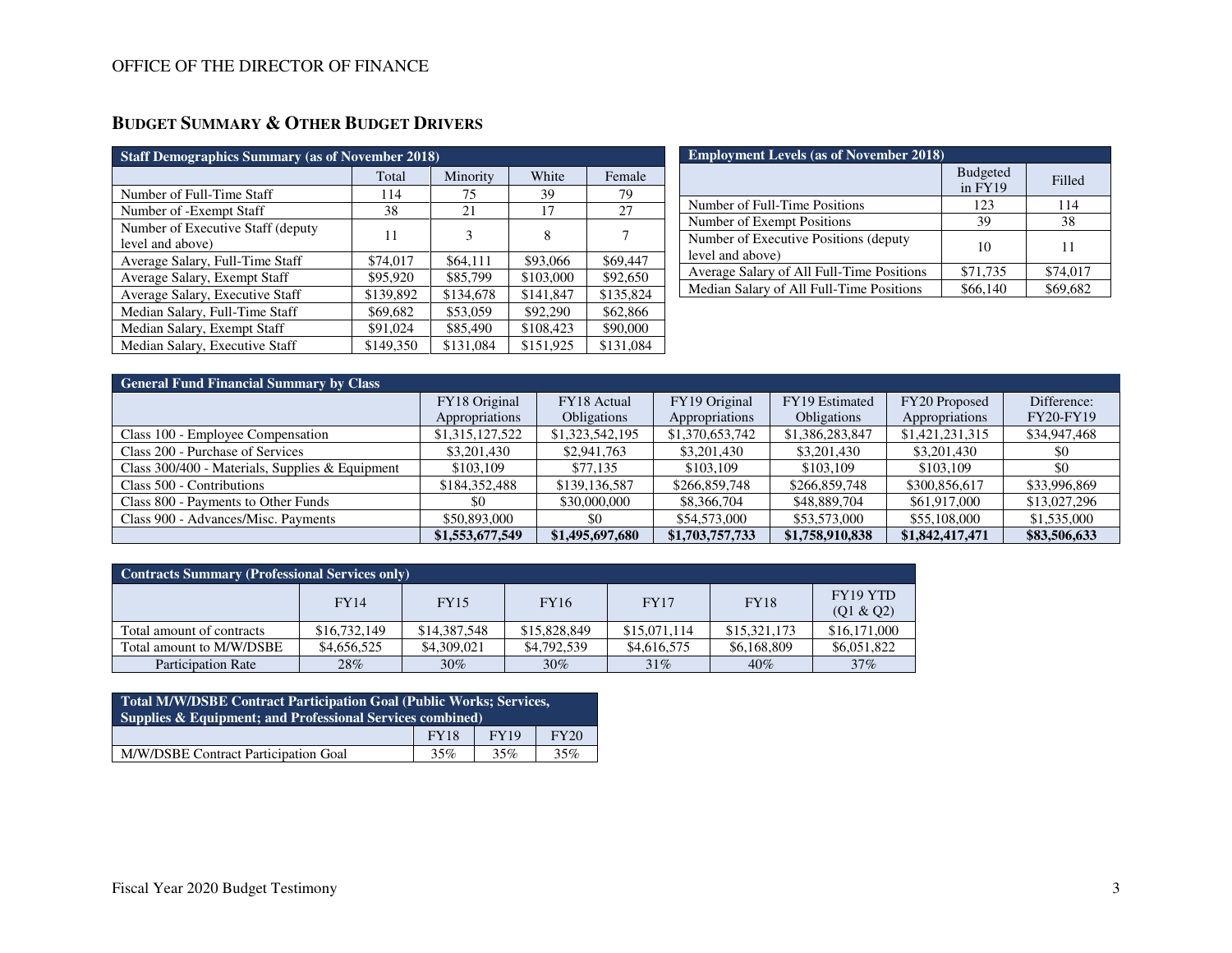# **BUDGET SUMMARY & OTHER BUDGET DRIVERS**

| <b>Staff Demographics Summary (as of November 2018)</b> |                   |           |           |           |  |  |  |  |  |
|---------------------------------------------------------|-------------------|-----------|-----------|-----------|--|--|--|--|--|
|                                                         | Minority<br>Total |           | White     | Female    |  |  |  |  |  |
| Number of Full-Time Staff                               | 114               | 75        | 39        | 79        |  |  |  |  |  |
| Number of -Exempt Staff                                 | 38                | 21        | 17        | 27        |  |  |  |  |  |
| Number of Executive Staff (deputy<br>level and above)   | 11                | 3         | 8         |           |  |  |  |  |  |
| Average Salary, Full-Time Staff                         | \$74,017          | \$64,111  | \$93,066  | \$69,447  |  |  |  |  |  |
| Average Salary, Exempt Staff                            | \$95,920          | \$85,799  | \$103,000 | \$92,650  |  |  |  |  |  |
| Average Salary, Executive Staff                         | \$139,892         | \$134,678 | \$141,847 | \$135,824 |  |  |  |  |  |
| Median Salary, Full-Time Staff                          | \$69,682          | \$53,059  | \$92,290  | \$62,866  |  |  |  |  |  |
| Median Salary, Exempt Staff                             | \$91,024          | \$85,490  | \$108,423 | \$90,000  |  |  |  |  |  |
| Median Salary, Executive Staff                          | \$149,350         | \$131,084 | \$151,925 | \$131,084 |  |  |  |  |  |

| <b>Employment Levels (as of November 2018)</b>            |                            |          |  |  |  |  |  |  |
|-----------------------------------------------------------|----------------------------|----------|--|--|--|--|--|--|
|                                                           | <b>Budgeted</b><br>in FY19 | Filled   |  |  |  |  |  |  |
| Number of Full-Time Positions                             | 123                        | 114      |  |  |  |  |  |  |
| Number of Exempt Positions                                | 39                         | 38       |  |  |  |  |  |  |
| Number of Executive Positions (deputy<br>level and above) | 10                         | 11       |  |  |  |  |  |  |
| Average Salary of All Full-Time Positions                 | \$71,735                   | \$74,017 |  |  |  |  |  |  |
| Median Salary of All Full-Time Positions                  | \$66,140                   | \$69,682 |  |  |  |  |  |  |

| <b>General Fund Financial Summary by Class</b>  |                 |                    |                 |                    |                 |                  |  |  |  |
|-------------------------------------------------|-----------------|--------------------|-----------------|--------------------|-----------------|------------------|--|--|--|
|                                                 | FY18 Original   | FY18 Actual        | FY19 Original   | FY19 Estimated     | FY20 Proposed   | Difference:      |  |  |  |
|                                                 | Appropriations  | <b>Obligations</b> | Appropriations  | <b>Obligations</b> | Appropriations  | <b>FY20-FY19</b> |  |  |  |
| Class 100 - Employee Compensation               | \$1,315,127,522 | \$1,323,542,195    | \$1,370,653,742 | \$1,386,283,847    | \$1,421,231,315 | \$34,947,468     |  |  |  |
| Class 200 - Purchase of Services                | \$3,201,430     | \$2,941,763        | \$3,201,430     | \$3,201,430        | \$3,201,430     | \$0              |  |  |  |
| Class 300/400 - Materials, Supplies & Equipment | \$103,109       | \$77,135           | \$103,109       | \$103,109          | \$103,109       | \$0              |  |  |  |
| Class 500 - Contributions                       | \$184,352,488   | \$139,136,587      | \$266,859,748   | \$266,859,748      | \$300,856,617   | \$33,996,869     |  |  |  |
| Class 800 - Payments to Other Funds             | \$0             | \$30,000,000       | \$8,366,704     | \$48,889,704       | \$61,917,000    | \$13,027,296     |  |  |  |
| Class 900 - Advances/Misc. Payments             | \$50,893,000    | \$0                | \$54,573,000    | \$53,573,000       | \$55,108,000    | \$1,535,000      |  |  |  |
|                                                 | \$1,553,677,549 | \$1,495,697,680    | \$1,703,757,733 | \$1,758,910,838    | \$1,842,417,471 | \$83,506,633     |  |  |  |

| <b>Contracts Summary (Professional Services only)</b> |              |              |              |              |              |                              |  |  |  |
|-------------------------------------------------------|--------------|--------------|--------------|--------------|--------------|------------------------------|--|--|--|
|                                                       | FY14         | <b>FY15</b>  | <b>FY16</b>  | <b>FY17</b>  | <b>FY18</b>  | <b>FY19 YTD</b><br>(Q1 & Q2) |  |  |  |
| Total amount of contracts                             | \$16,732,149 | \$14,387,548 | \$15,828,849 | \$15,071,114 | \$15,321,173 | \$16,171,000                 |  |  |  |
| Total amount to M/W/DSBE                              | \$4,656,525  | \$4,309,021  | \$4,792,539  | \$4,616,575  | \$6,168,809  | \$6,051,822                  |  |  |  |
| <b>Participation Rate</b>                             | 28%          | $30\%$       | $30\%$       | 31%          | 40%          | 37%                          |  |  |  |

| Total M/W/DSBE Contract Participation Goal (Public Works; Services,<br><b>Supplies &amp; Equipment: and Professional Services combined)</b> |             |             |      |  |  |  |  |
|---------------------------------------------------------------------------------------------------------------------------------------------|-------------|-------------|------|--|--|--|--|
|                                                                                                                                             | <b>FY18</b> | <b>FY19</b> | FY20 |  |  |  |  |
| M/W/DSBE Contract Participation Goal                                                                                                        | 35%         | 35%         | 35%  |  |  |  |  |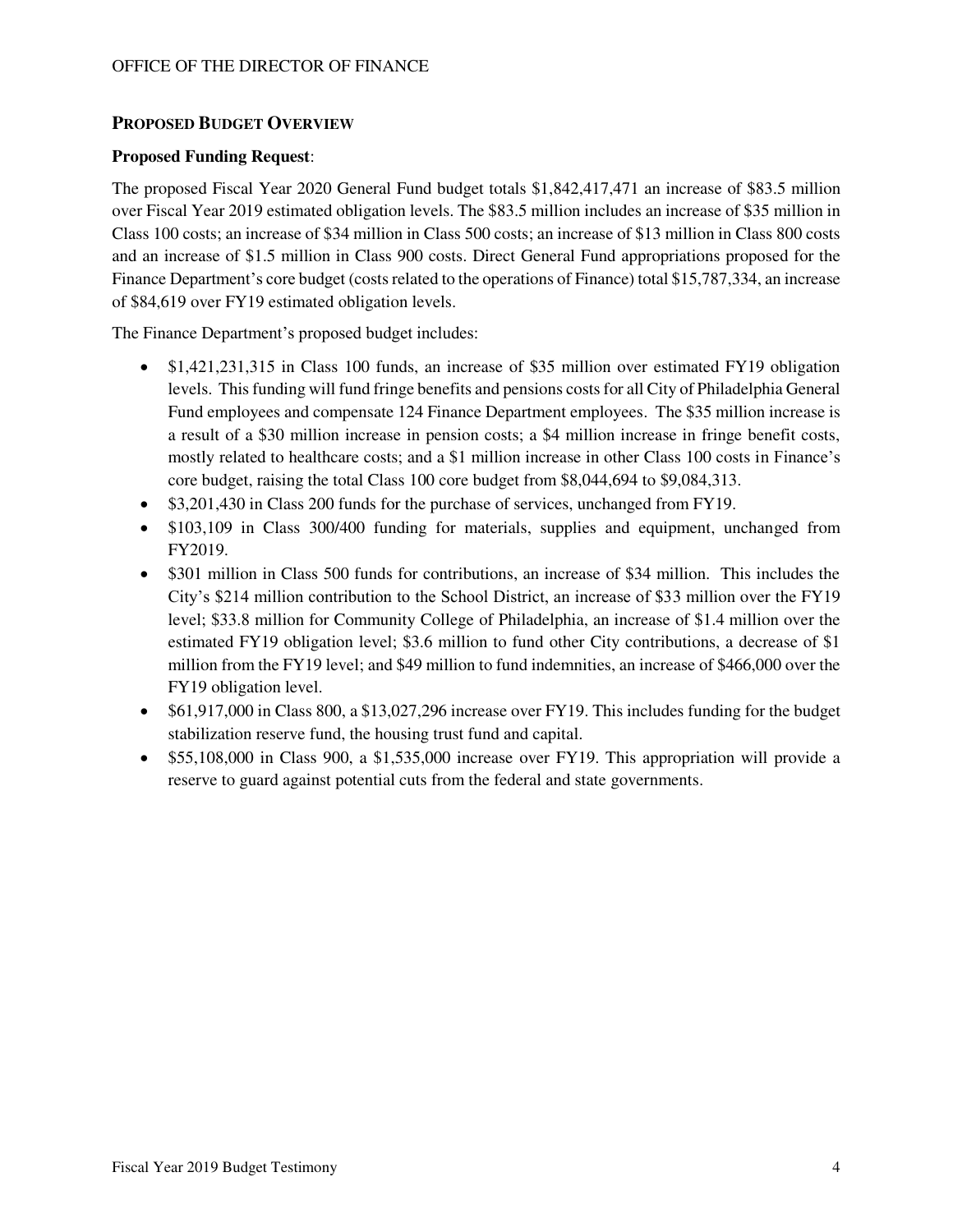## **PROPOSED BUDGET OVERVIEW**

### **Proposed Funding Request**:

The proposed Fiscal Year 2020 General Fund budget totals \$1,842,417,471 an increase of \$83.5 million over Fiscal Year 2019 estimated obligation levels. The \$83.5 million includes an increase of \$35 million in Class 100 costs; an increase of \$34 million in Class 500 costs; an increase of \$13 million in Class 800 costs and an increase of \$1.5 million in Class 900 costs. Direct General Fund appropriations proposed for the Finance Department's core budget (costs related to the operations of Finance) total \$15,787,334, an increase of \$84,619 over FY19 estimated obligation levels.

The Finance Department's proposed budget includes:

- \$1,421,231,315 in Class 100 funds, an increase of \$35 million over estimated FY19 obligation levels. This funding will fund fringe benefits and pensions costs for all City of Philadelphia General Fund employees and compensate 124 Finance Department employees. The \$35 million increase is a result of a \$30 million increase in pension costs; a \$4 million increase in fringe benefit costs, mostly related to healthcare costs; and a \$1 million increase in other Class 100 costs in Finance's core budget, raising the total Class 100 core budget from \$8,044,694 to \$9,084,313.
- \$3,201,430 in Class 200 funds for the purchase of services, unchanged from FY19.
- \$103,109 in Class 300/400 funding for materials, supplies and equipment, unchanged from FY2019.
- \$301 million in Class 500 funds for contributions, an increase of \$34 million. This includes the City's \$214 million contribution to the School District, an increase of \$33 million over the FY19 level; \$33.8 million for Community College of Philadelphia, an increase of \$1.4 million over the estimated FY19 obligation level; \$3.6 million to fund other City contributions, a decrease of \$1 million from the FY19 level; and \$49 million to fund indemnities, an increase of \$466,000 over the FY19 obligation level.
- \$61,917,000 in Class 800, a \$13,027,296 increase over FY19. This includes funding for the budget stabilization reserve fund, the housing trust fund and capital.
- \$55,108,000 in Class 900, a \$1,535,000 increase over FY19. This appropriation will provide a reserve to guard against potential cuts from the federal and state governments.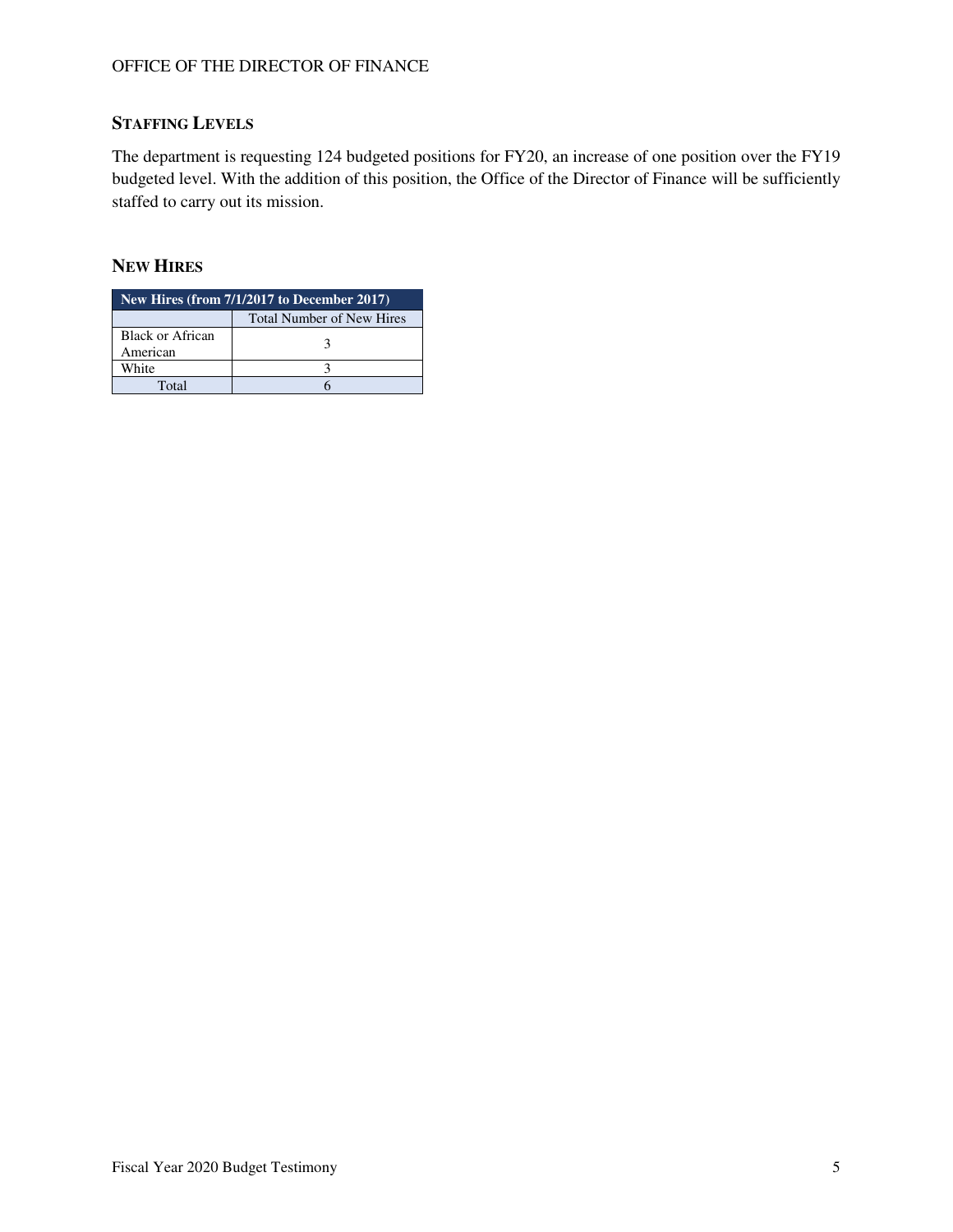## **STAFFING LEVELS**

The department is requesting 124 budgeted positions for FY20, an increase of one position over the FY19 budgeted level. With the addition of this position, the Office of the Director of Finance will be sufficiently staffed to carry out its mission.

## **NEW HIRES**

| New Hires (from $7/1/2\overline{017}$ to December 2017) |                                  |  |  |  |  |  |  |
|---------------------------------------------------------|----------------------------------|--|--|--|--|--|--|
|                                                         | <b>Total Number of New Hires</b> |  |  |  |  |  |  |
| Black or African<br>American                            |                                  |  |  |  |  |  |  |
| White                                                   |                                  |  |  |  |  |  |  |
| Total                                                   |                                  |  |  |  |  |  |  |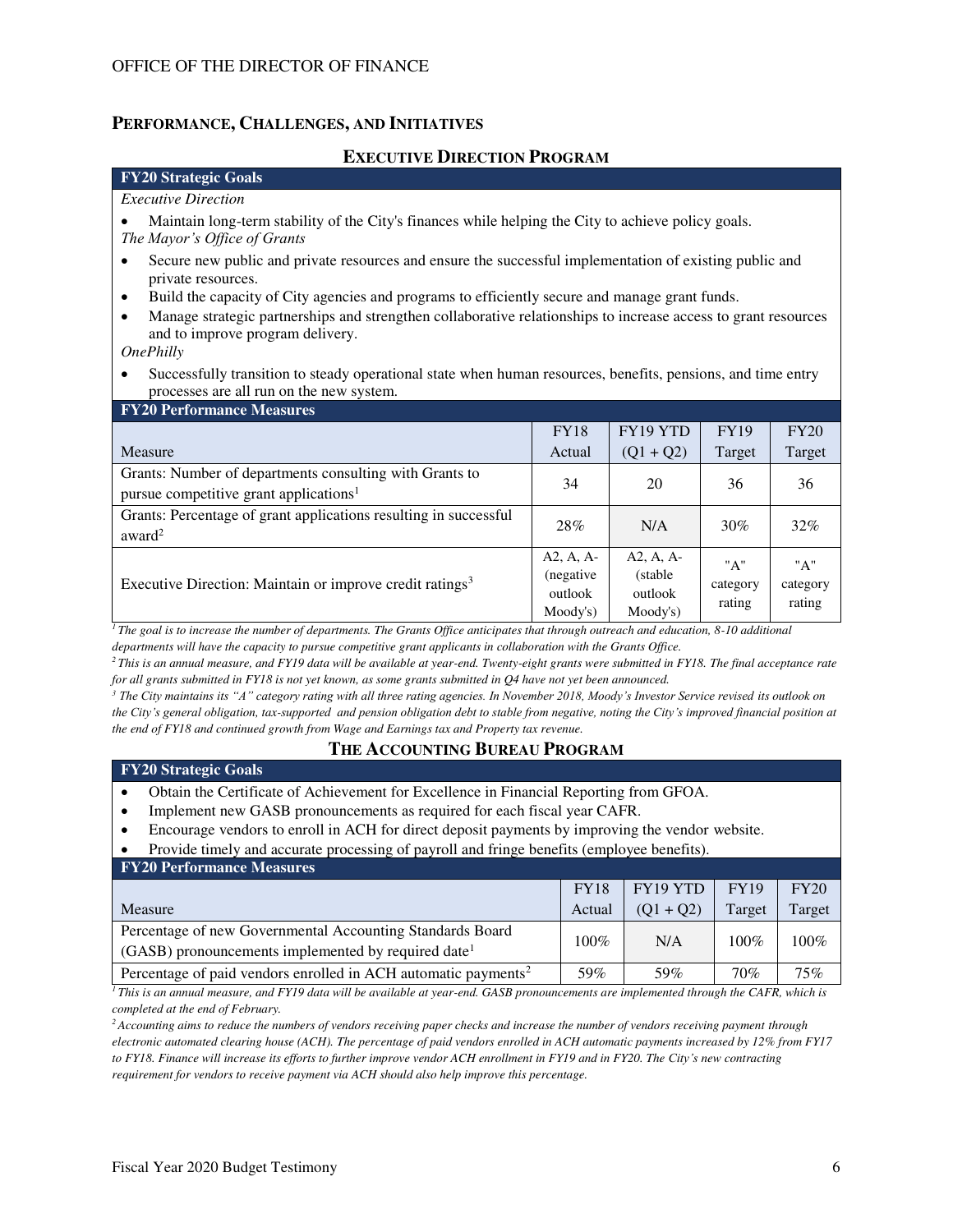### **PERFORMANCE, CHALLENGES, AND INITIATIVES**

#### **EXECUTIVE DIRECTION PROGRAM**

## **FY20 Strategic Goals**

#### *Executive Direction*

• Maintain long-term stability of the City's finances while helping the City to achieve policy goals. *The Mayor's Office of Grants*

- Secure new public and private resources and ensure the successful implementation of existing public and private resources.
- Build the capacity of City agencies and programs to efficiently secure and manage grant funds.
- Manage strategic partnerships and strengthen collaborative relationships to increase access to grant resources and to improve program delivery.

*OnePhilly*

• Successfully transition to steady operational state when human resources, benefits, pensions, and time entry processes are all run on the new system.

| <b>FY20 Performance Measures</b>                                                                              |                                                  |                                                |                           |                           |
|---------------------------------------------------------------------------------------------------------------|--------------------------------------------------|------------------------------------------------|---------------------------|---------------------------|
|                                                                                                               | <b>FY18</b>                                      | FY19 YTD                                       | <b>FY19</b>               | FY20                      |
| Measure                                                                                                       | Actual                                           | $(Q1 + Q2)$                                    | Target                    | Target                    |
| Grants: Number of departments consulting with Grants to<br>pursue competitive grant applications <sup>1</sup> | 34                                               | 20                                             | 36                        | 36                        |
| Grants: Percentage of grant applications resulting in successful<br>award <sup>2</sup>                        | 28%                                              | N/A                                            | 30%                       | 32%                       |
| Executive Direction: Maintain or improve credit ratings <sup>3</sup>                                          | $A2, A, A-$<br>(negative)<br>outlook<br>Moody's) | $A2, A, A-$<br>(stable)<br>outlook<br>Moody's) | "A"<br>category<br>rating | "A"<br>category<br>rating |

*<sup>1</sup>The goal is to increase the number of departments. The Grants Office anticipates that through outreach and education, 8-10 additional departments will have the capacity to pursue competitive grant applicants in collaboration with the Grants Office.* 

*<sup>2</sup>This is an annual measure, and FY19 data will be available at year-end. Twenty-eight grants were submitted in FY18. The final acceptance rate for all grants submitted in FY18 is not yet known, as some grants submitted in Q4 have not yet been announced.* 

*<sup>3</sup> The City maintains its "A" category rating with all three rating agencies. In November 2018, Moody's Investor Service revised its outlook on the City's general obligation, tax-supported and pension obligation debt to stable from negative, noting the City's improved financial position at the end of FY18 and continued growth from Wage and Earnings tax and Property tax revenue.*

### **THE ACCOUNTING BUREAU PROGRAM**

### **FY20 Strategic Goals**

- Obtain the Certificate of Achievement for Excellence in Financial Reporting from GFOA.
- Implement new GASB pronouncements as required for each fiscal year CAFR.
- Encourage vendors to enroll in ACH for direct deposit payments by improving the vendor website.
- Provide timely and accurate processing of payroll and fringe benefits (employee benefits).

| <b>FY20 Performance Measures</b>                                                                                               |             |             |             |        |
|--------------------------------------------------------------------------------------------------------------------------------|-------------|-------------|-------------|--------|
|                                                                                                                                | <b>FY18</b> | FY19 YTD    | <b>FY19</b> | FY20   |
| Measure                                                                                                                        | Actual      | $(01 + 02)$ | Target      | Target |
| Percentage of new Governmental Accounting Standards Board<br>$(GASB)$ pronouncements implemented by required date <sup>1</sup> | $100\%$     | N/A         | $100\%$     | 100%   |
| Percentage of paid vendors enrolled in ACH automatic payments <sup>2</sup>                                                     | 59%         | 59%         | 70%         | 75%    |

*<sup>1</sup>This is an annual measure, and FY19 data will be available at year-end. GASB pronouncements are implemented through the CAFR, which is completed at the end of February.* 

*<sup>2</sup>Accounting aims to reduce the numbers of vendors receiving paper checks and increase the number of vendors receiving payment through electronic automated clearing house (ACH). The percentage of paid vendors enrolled in ACH automatic payments increased by 12% from FY17 to FY18. Finance will increase its efforts to further improve vendor ACH enrollment in FY19 and in FY20. The City's new contracting requirement for vendors to receive payment via ACH should also help improve this percentage.*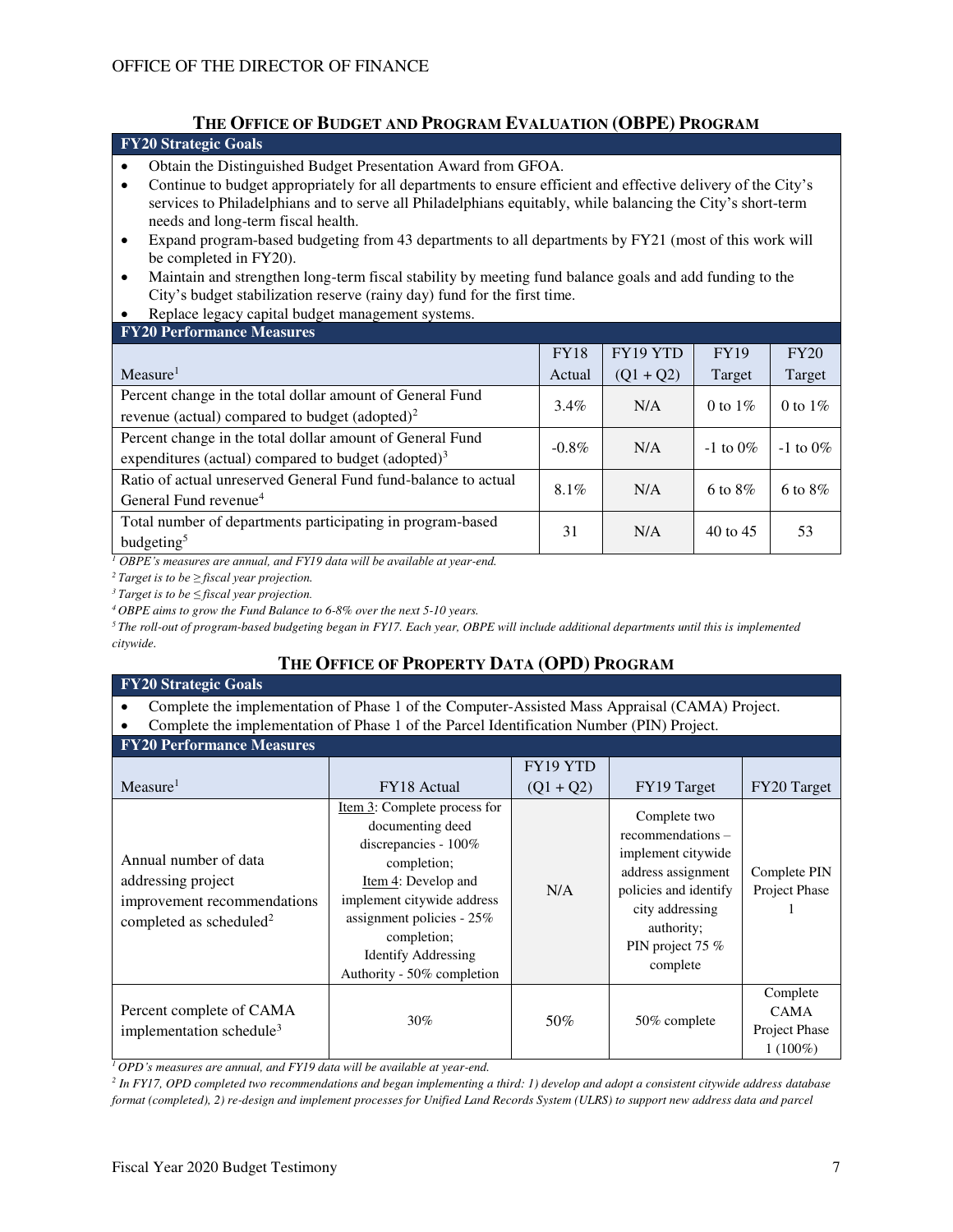## **THE OFFICE OF BUDGET AND PROGRAM EVALUATION (OBPE) PROGRAM**

#### **FY20 Strategic Goals**

- Obtain the Distinguished Budget Presentation Award from GFOA.
- Continue to budget appropriately for all departments to ensure efficient and effective delivery of the City's services to Philadelphians and to serve all Philadelphians equitably, while balancing the City's short-term needs and long-term fiscal health.
- Expand program-based budgeting from 43 departments to all departments by FY21 (most of this work will be completed in FY20).
- Maintain and strengthen long-term fiscal stability by meeting fund balance goals and add funding to the City's budget stabilization reserve (rainy day) fund for the first time.
- Replace legacy capital budget management systems.

| <b>FY20 Performance Measures</b>                               |             |             |                     |               |
|----------------------------------------------------------------|-------------|-------------|---------------------|---------------|
|                                                                | <b>FY18</b> | FY19 YTD    | <b>FY19</b>         | FY20          |
| Measure <sup>1</sup>                                           | Actual      | $(Q1 + Q2)$ | Target              | Target        |
| Percent change in the total dollar amount of General Fund      | $3.4\%$     | N/A         | 0 to $1\%$          | 0 to $1\%$    |
| revenue (actual) compared to budget (adopted) <sup>2</sup>     |             |             |                     |               |
| Percent change in the total dollar amount of General Fund      | $-0.8\%$    | N/A         | $-1$ to $0\%$       | $-1$ to $0\%$ |
| expenditures (actual) compared to budget (adopted) $3$         |             |             |                     |               |
| Ratio of actual unreserved General Fund fund-balance to actual | 8.1%        | N/A         | 6 to $8\%$          | 6 to $8\%$    |
| General Fund revenue <sup>4</sup>                              |             |             |                     |               |
| Total number of departments participating in program-based     | 31          | N/A         | $40 \text{ to } 45$ | 53            |
| budgeting <sup>5</sup>                                         |             |             |                     |               |

*<sup>1</sup> OBPE's measures are annual, and FY19 data will be available at year-end.*

*<sup>2</sup>Target is to be ≥ fiscal year projection.* 

*<sup>3</sup>Target is to be ≤ fiscal year projection.*

*<sup>4</sup>OBPE aims to grow the Fund Balance to 6-8% over the next 5-10 years.* 

*<sup>5</sup>The roll-out of program-based budgeting began in FY17. Each year, OBPE will include additional departments until this is implemented citywide.*

# **THE OFFICE OF PROPERTY DATA (OPD) PROGRAM**

#### **FY20 Strategic Goals**

• Complete the implementation of Phase 1 of the Computer-Assisted Mass Appraisal (CAMA) Project.

• Complete the implementation of Phase 1 of the Parcel Identification Number (PIN) Project.

#### **FY20 Performance Measures**

| F 1 20 I CHUI mance Measures                                                                                      |                                                                                                                                                                                                                                                            |                         |                                                                                                                                                                         |                                                        |
|-------------------------------------------------------------------------------------------------------------------|------------------------------------------------------------------------------------------------------------------------------------------------------------------------------------------------------------------------------------------------------------|-------------------------|-------------------------------------------------------------------------------------------------------------------------------------------------------------------------|--------------------------------------------------------|
| Measure <sup>1</sup>                                                                                              | FY18 Actual                                                                                                                                                                                                                                                | FY19 YTD<br>$(Q1 + Q2)$ | FY19 Target                                                                                                                                                             | FY20 Target                                            |
| Annual number of data<br>addressing project<br>improvement recommendations<br>completed as scheduled <sup>2</sup> | Item 3: Complete process for<br>documenting deed<br>discrepancies - $100\%$<br>completion;<br>Item 4: Develop and<br>implement citywide address<br>assignment policies - $25\%$<br>completion;<br><b>Identify Addressing</b><br>Authority - 50% completion | N/A                     | Complete two<br>recommendations –<br>implement citywide<br>address assignment<br>policies and identify<br>city addressing<br>authority;<br>PIN project 75 %<br>complete | Complete PIN<br>Project Phase                          |
| Percent complete of CAMA<br>implementation schedule <sup>3</sup>                                                  | $30\%$                                                                                                                                                                                                                                                     | 50%                     | 50% complete                                                                                                                                                            | Complete<br><b>CAMA</b><br>Project Phase<br>$1(100\%)$ |

*<sup>1</sup>OPD's measures are annual, and FY19 data will be available at year-end.*

*2 In FY17, OPD completed two recommendations and began implementing a third: 1) develop and adopt a consistent citywide address database format (completed), 2) re-design and implement processes for Unified Land Records System (ULRS) to support new address data and parcel*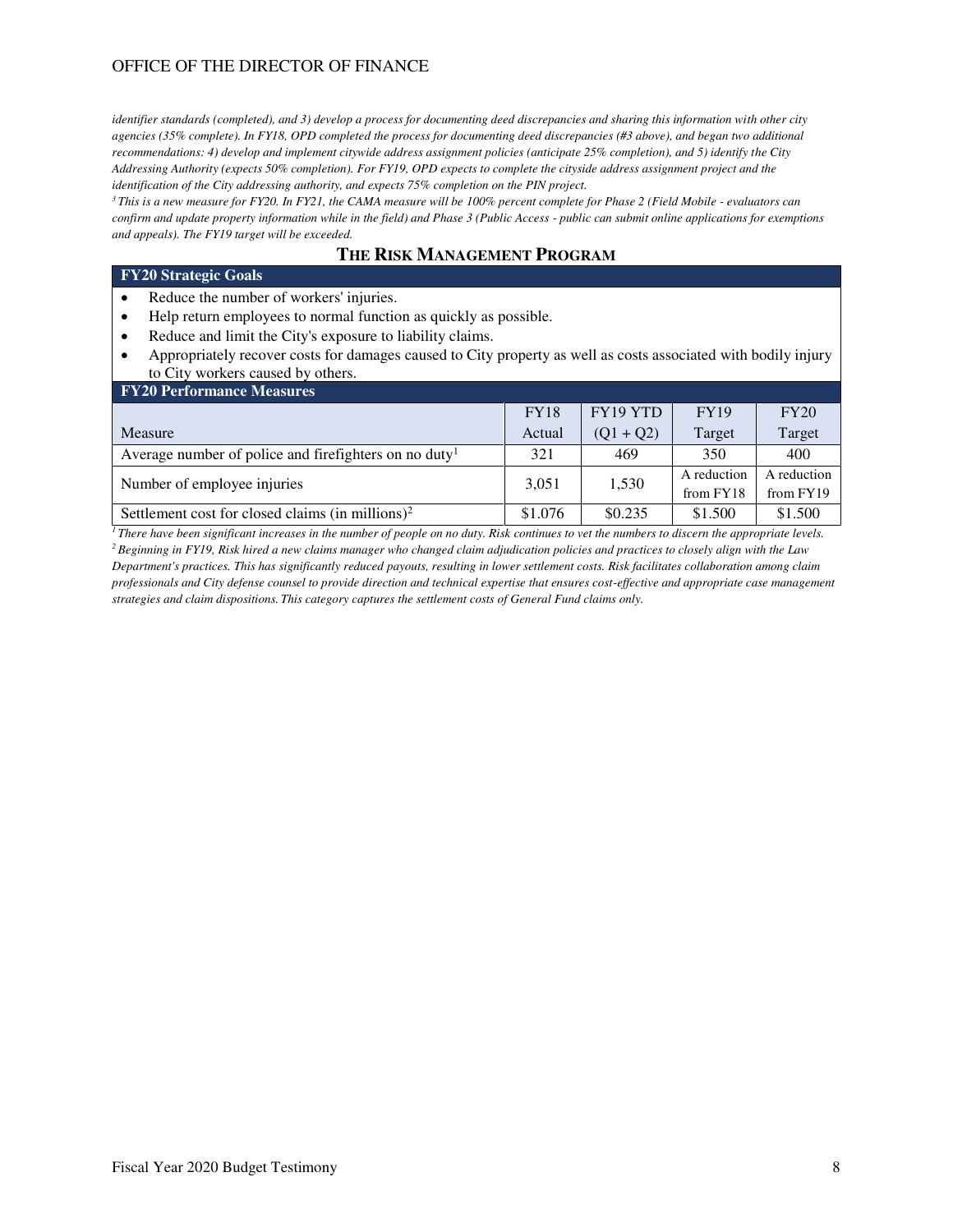## OFFICE OF THE DIRECTOR OF FINANCE

*identifier standards (completed), and 3) develop a process for documenting deed discrepancies and sharing this information with other city agencies (35% complete). In FY18, OPD completed the process for documenting deed discrepancies (#3 above), and began two additional recommendations: 4) develop and implement citywide address assignment policies (anticipate 25% completion), and 5) identify the City Addressing Authority (expects 50% completion). For FY19, OPD expects to complete the cityside address assignment project and the identification of the City addressing authority, and expects 75% completion on the PIN project.* 

*<sup>3</sup>This is a new measure for FY20. In FY21, the CAMA measure will be 100% percent complete for Phase 2 (Field Mobile - evaluators can confirm and update property information while in the field) and Phase 3 (Public Access - public can submit online applications for exemptions and appeals). The FY19 target will be exceeded.* 

## **THE RISK MANAGEMENT PROGRAM**

#### **FY20 Strategic Goals**

- Reduce the number of workers' injuries.
- Help return employees to normal function as quickly as possible.
- Reduce and limit the City's exposure to liability claims.
- Appropriately recover costs for damages caused to City property as well as costs associated with bodily injury to City workers caused by others.

| <b>FY20 Performance Measures</b>                                  |             |             |                          |                          |  |  |  |  |  |
|-------------------------------------------------------------------|-------------|-------------|--------------------------|--------------------------|--|--|--|--|--|
|                                                                   | <b>FY18</b> | FY19 YTD    | <b>FY19</b>              | FY20                     |  |  |  |  |  |
| Measure                                                           | Actual      | $(01 + 02)$ | Target                   | Target                   |  |  |  |  |  |
| Average number of police and firefighters on no duty <sup>1</sup> | 321         | 469         | 350                      | 400                      |  |  |  |  |  |
| Number of employee injuries                                       | 3.051       | 1,530       | A reduction<br>from FY18 | A reduction<br>from FY19 |  |  |  |  |  |
| Settlement cost for closed claims (in millions) <sup>2</sup>      | \$1.076     | \$0.235     | \$1.500                  | \$1.500                  |  |  |  |  |  |

*<sup>1</sup>There have been significant increases in the number of people on no duty. Risk continues to vet the numbers to discern the appropriate levels. <sup>2</sup>Beginning in FY19, Risk hired a new claims manager who changed claim adjudication policies and practices to closely align with the Law Department's practices. This has significantly reduced payouts, resulting in lower settlement costs. Risk facilitates collaboration among claim professionals and City defense counsel to provide direction and technical expertise that ensures cost-effective and appropriate case management strategies and claim dispositions. This category captures the settlement costs of General Fund claims only.*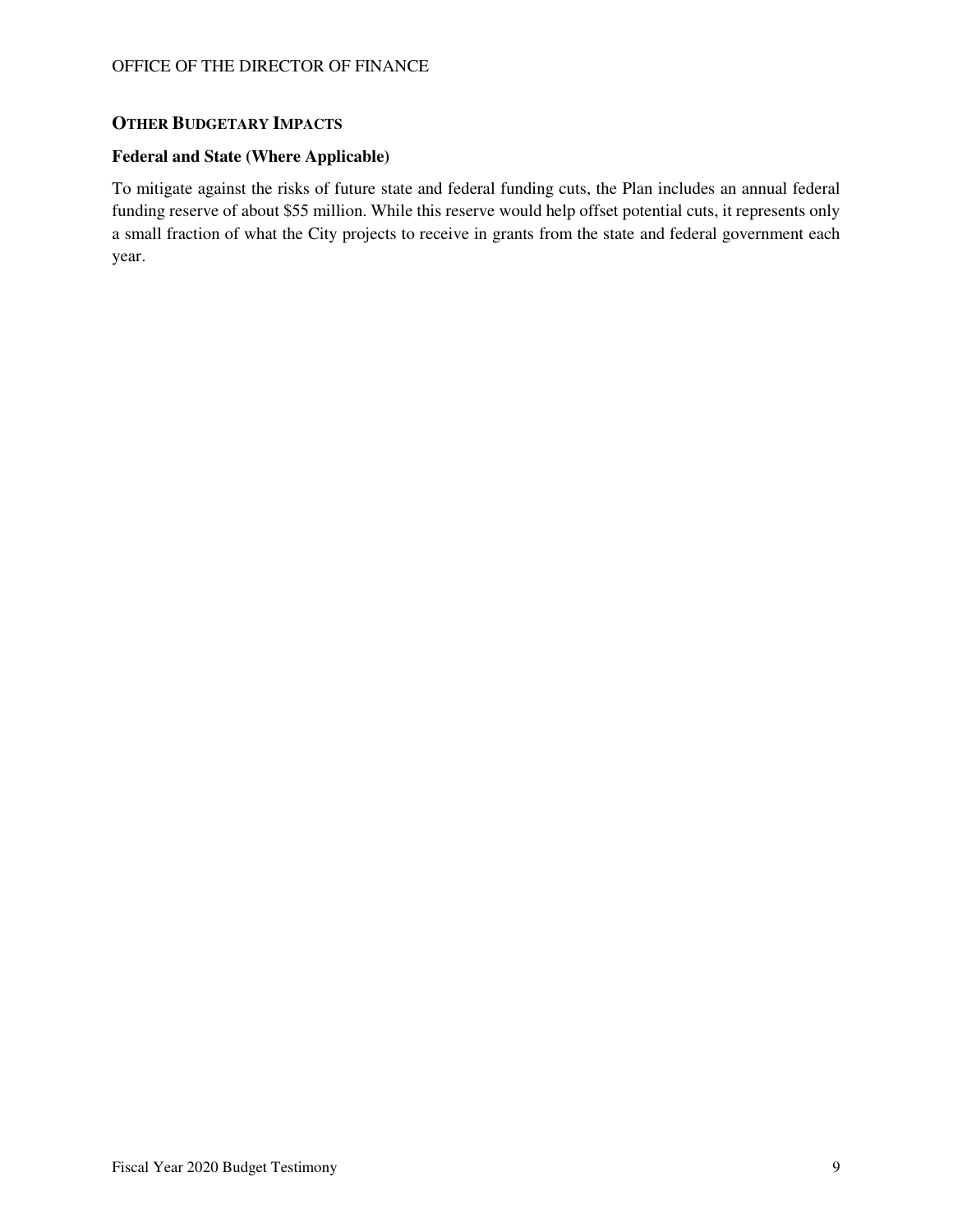## **OTHER BUDGETARY IMPACTS**

#### **Federal and State (Where Applicable)**

To mitigate against the risks of future state and federal funding cuts, the Plan includes an annual federal funding reserve of about \$55 million. While this reserve would help offset potential cuts, it represents only a small fraction of what the City projects to receive in grants from the state and federal government each year.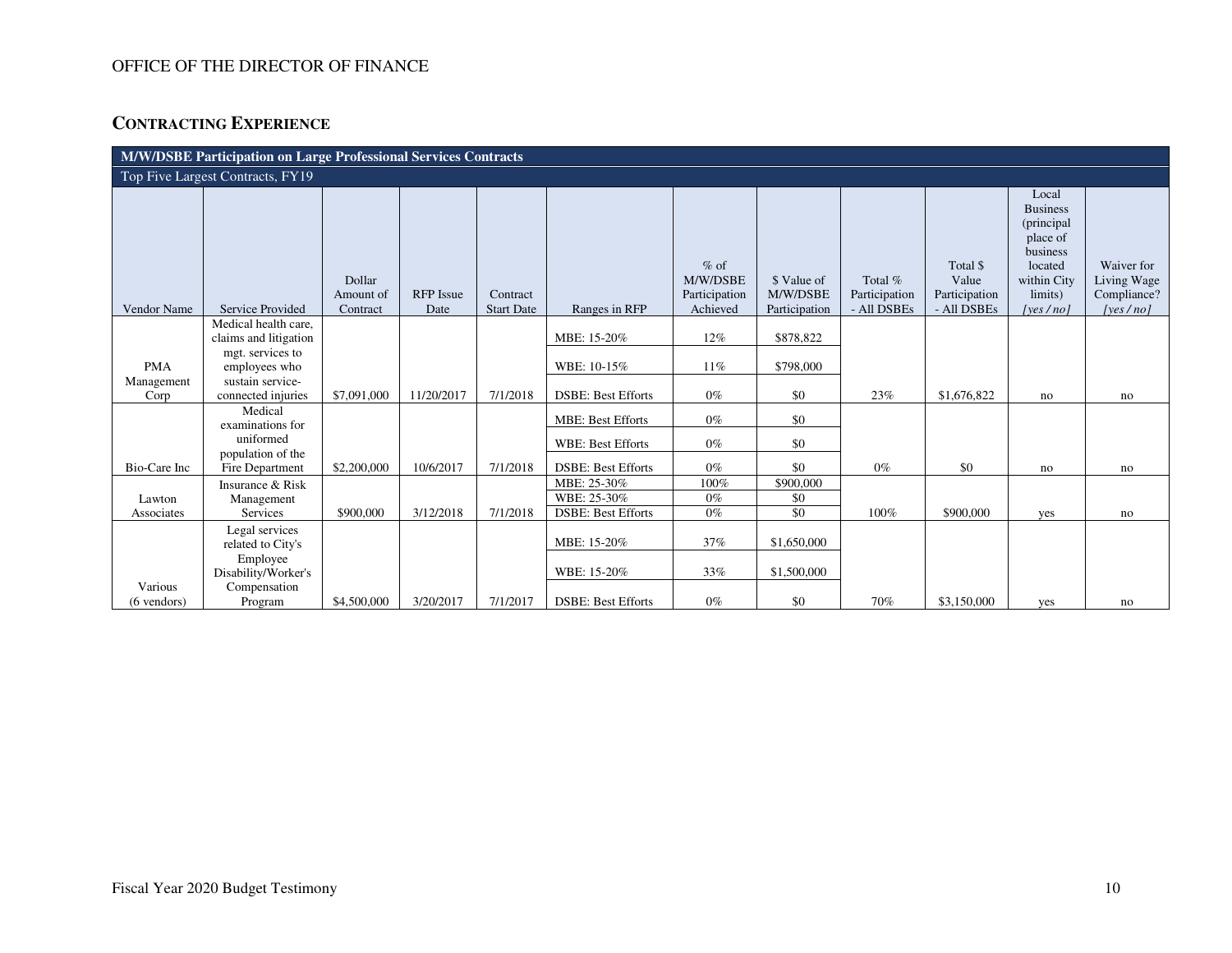## OFFICE OF THE DIRECTOR OF FINANCE

# **CONTRACTING EXPERIENCE**

| <b>M/W/DSBE Participation on Large Professional Services Contracts</b> |                                                                                |                                 |                          |                               |                           |                                                 |                                          |                                         |                                                   |                                                                                                                      |                                                      |
|------------------------------------------------------------------------|--------------------------------------------------------------------------------|---------------------------------|--------------------------|-------------------------------|---------------------------|-------------------------------------------------|------------------------------------------|-----------------------------------------|---------------------------------------------------|----------------------------------------------------------------------------------------------------------------------|------------------------------------------------------|
| Top Five Largest Contracts, FY19                                       |                                                                                |                                 |                          |                               |                           |                                                 |                                          |                                         |                                                   |                                                                                                                      |                                                      |
| Vendor Name                                                            | <b>Service Provided</b>                                                        | Dollar<br>Amount of<br>Contract | <b>RFP</b> Issue<br>Date | Contract<br><b>Start Date</b> | Ranges in RFP             | $%$ of<br>M/W/DSBE<br>Participation<br>Achieved | \$ Value of<br>M/W/DSBE<br>Participation | Total %<br>Participation<br>- All DSBEs | Total \$<br>Value<br>Participation<br>- All DSBEs | Local<br><b>Business</b><br>(principal<br>place of<br>business<br>located<br>within City<br>limits)<br>[yes $/$ no ] | Waiver for<br>Living Wage<br>Compliance?<br>[yes/no] |
|                                                                        | Medical health care,                                                           |                                 |                          |                               | MBE: 15-20%               | 12%                                             | \$878,822                                |                                         |                                                   |                                                                                                                      |                                                      |
| <b>PMA</b>                                                             | claims and litigation<br>mgt. services to<br>employees who<br>sustain service- |                                 |                          |                               | WBE: 10-15%               | 11%                                             | \$798,000                                |                                         |                                                   |                                                                                                                      |                                                      |
| Management<br>Corp                                                     | connected injuries                                                             | \$7,091,000                     | 11/20/2017               | 7/1/2018                      | <b>DSBE: Best Efforts</b> | $0\%$                                           | \$0                                      | 23%                                     | \$1,676,822                                       | no                                                                                                                   | no                                                   |
|                                                                        | Medical<br>examinations for                                                    |                                 |                          |                               | <b>MBE: Best Efforts</b>  | $0\%$                                           | \$0                                      |                                         |                                                   |                                                                                                                      |                                                      |
|                                                                        | uniformed                                                                      |                                 |                          |                               | <b>WBE: Best Efforts</b>  | $0\%$                                           | \$0                                      |                                         |                                                   |                                                                                                                      |                                                      |
| Bio-Care Inc                                                           | population of the<br>Fire Department                                           | \$2,200,000                     | 10/6/2017                | 7/1/2018                      | <b>DSBE: Best Efforts</b> | $0\%$                                           | \$0                                      | $0\%$                                   | \$0                                               | no                                                                                                                   | no                                                   |
|                                                                        | Insurance & Risk                                                               |                                 |                          |                               | MBE: 25-30%               | 100%                                            | \$900,000                                |                                         |                                                   |                                                                                                                      |                                                      |
| Lawton                                                                 | Management                                                                     |                                 |                          |                               | WBE: 25-30%               | $0\%$                                           | \$0                                      |                                         |                                                   |                                                                                                                      |                                                      |
| Associates                                                             | Services                                                                       | \$900,000                       | 3/12/2018                | 7/1/2018                      | <b>DSBE: Best Efforts</b> | $0\%$                                           | \$0                                      | 100%                                    | \$900,000                                         | yes                                                                                                                  | no                                                   |
|                                                                        | Legal services<br>related to City's                                            |                                 |                          |                               | MBE: 15-20%               | 37%                                             | \$1,650,000                              |                                         |                                                   |                                                                                                                      |                                                      |
|                                                                        | Employee<br>Disability/Worker's                                                |                                 |                          |                               | WBE: 15-20%               | 33%                                             | \$1,500,000                              |                                         |                                                   |                                                                                                                      |                                                      |
| Various<br>(6 vendors)                                                 | Compensation<br>Program                                                        | \$4,500,000                     | 3/20/2017                | 7/1/2017                      | <b>DSBE: Best Efforts</b> | $0\%$                                           | \$0                                      | 70%                                     | \$3,150,000                                       | yes                                                                                                                  | no                                                   |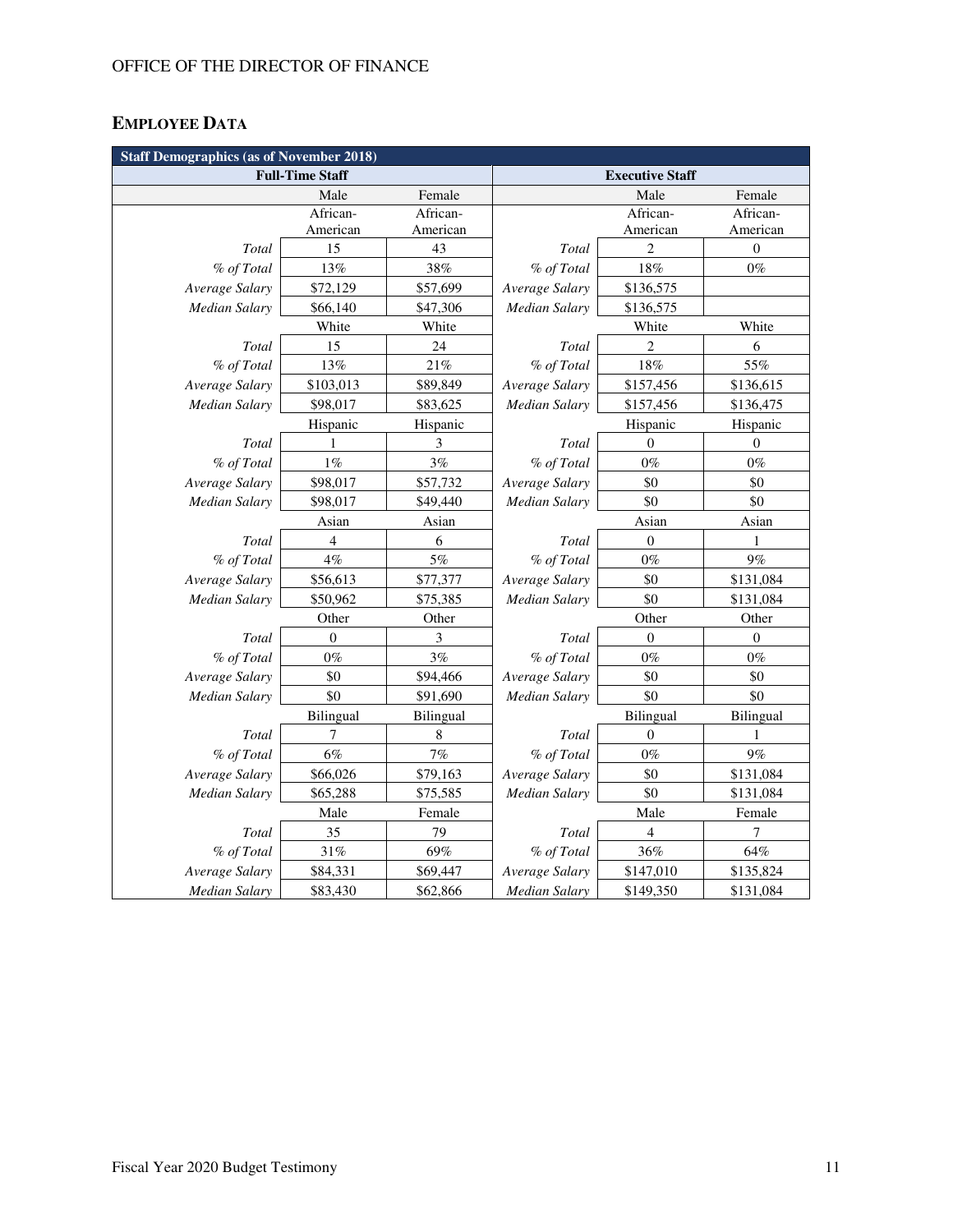# **EMPLOYEE DATA**

| <b>Staff Demographics (as of November 2018)</b> |                |           |                        |                  |                  |
|-------------------------------------------------|----------------|-----------|------------------------|------------------|------------------|
| <b>Full-Time Staff</b>                          |                |           | <b>Executive Staff</b> |                  |                  |
|                                                 | Male           | Female    |                        | Male             | Female           |
|                                                 | African-       | African-  |                        | African-         | African-         |
|                                                 | American       | American  |                        | American         | American         |
| Total                                           | 15             | 43        | Total                  | 2                | $\boldsymbol{0}$ |
| % of Total                                      | 13%            | 38%       | % of Total             | 18%              | $0\%$            |
| Average Salary                                  | \$72,129       | \$57,699  | Average Salary         | \$136,575        |                  |
| <b>Median Salary</b>                            | \$66,140       | \$47,306  | <b>Median Salary</b>   | \$136,575        |                  |
|                                                 | White          | White     |                        | White            | White            |
| Total                                           | 15             | 24        | Total                  | $\overline{2}$   | 6                |
| % of Total                                      | 13%            | $21\%$    | % of Total             | $18\%$           | 55%              |
| Average Salary                                  | \$103,013      | \$89,849  | Average Salary         | \$157,456        | \$136,615        |
| Median Salary                                   | \$98,017       | \$83,625  | <b>Median Salary</b>   | \$157,456        | \$136,475        |
|                                                 | Hispanic       | Hispanic  |                        | Hispanic         | Hispanic         |
| Total                                           |                | 3         | Total                  | $\Omega$         | $\overline{0}$   |
| % of Total                                      | $1\%$          | 3%        | % of Total             | $0\%$            | $0\%$            |
| Average Salary                                  | \$98,017       | \$57,732  | Average Salary         | \$0              | \$0              |
| <b>Median Salary</b>                            | \$98,017       | \$49,440  | <b>Median Salary</b>   | \$0              | \$0              |
|                                                 | Asian          | Asian     |                        | Asian            | Asian            |
| Total                                           | 4              | 6         | Total                  | 0                | 1                |
| % of Total                                      | 4%             | 5%        | % of Total             | $0\%$            | 9%               |
| Average Salary                                  | \$56,613       | \$77,377  | Average Salary         | \$0              | \$131,084        |
| Median Salary                                   | \$50,962       | \$75,385  | <b>Median Salary</b>   | \$0              | \$131,084        |
|                                                 | Other          | Other     |                        | Other            | Other            |
| Total                                           | $\overline{0}$ | 3         | Total                  | $\boldsymbol{0}$ | $\boldsymbol{0}$ |
| % of Total                                      | $0\%$          | 3%        | % of Total             | $0\%$            | $0\%$            |
| Average Salary                                  | \$0            | \$94,466  | Average Salary         | \$0              | \$0              |
| <b>Median Salary</b>                            | \$0            | \$91,690  | <b>Median Salary</b>   | \$0              | \$0              |
|                                                 | Bilingual      | Bilingual |                        | Bilingual        | Bilingual        |
| Total                                           | 7              | 8         | Total                  | $\theta$         | 1                |
| % of Total                                      | $6\%$          | 7%        | % of Total             | $0\%$            | 9%               |
| Average Salary                                  | \$66,026       | \$79,163  | Average Salary         | \$0              | \$131,084        |
| Median Salary                                   | \$65,288       | \$75,585  | Median Salary          | \$0              | \$131,084        |
|                                                 | Male           | Female    |                        | Male             | Female           |
| Total                                           | 35             | 79        | Total                  | 4                | 7                |
| % of Total                                      | 31%            | 69%       | % of Total             | 36%              | $64\%$           |
| Average Salary                                  | \$84,331       | \$69,447  | Average Salary         | \$147,010        | \$135,824        |
| Median Salary                                   | \$83,430       | \$62,866  | Median Salary          | \$149,350        | \$131,084        |